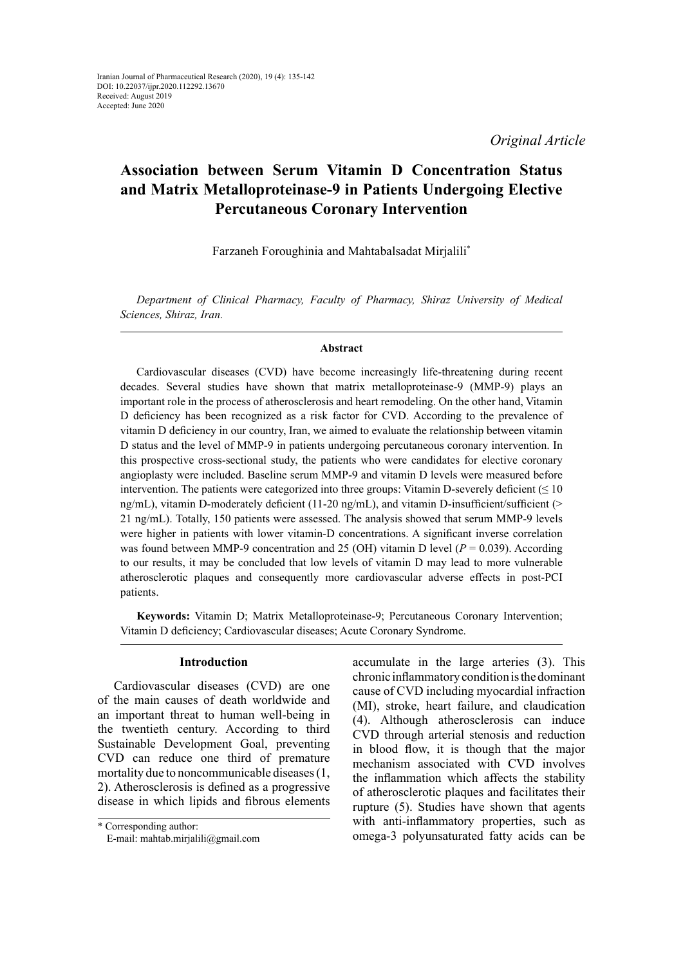*Original Article*

# **Association between Serum Vitamin D Concentration Status and Matrix Metalloproteinase-9 in Patients Undergoing Elective Percutaneous Coronary Intervention**

Farzaneh Foroughinia and Mahtabalsadat Mirjalili\*

*Department of Clinical Pharmacy, Faculty of Pharmacy, Shiraz University of Medical Sciences, Shiraz, Iran.*

## **Abstract**

Cardiovascular diseases (CVD) have become increasingly life-threatening during recent decades. Several studies have shown that matrix metalloproteinase-9 (MMP-9) plays an important role in the process of atherosclerosis and heart remodeling. On the other hand, Vitamin D deficiency has been recognized as a risk factor for CVD. According to the prevalence of vitamin D deficiency in our country, Iran, we aimed to evaluate the relationship between vitamin D status and the level of MMP-9 in patients undergoing percutaneous coronary intervention. In this prospective cross-sectional study, the patients who were candidates for elective coronary angioplasty were included. Baseline serum MMP-9 and vitamin D levels were measured before intervention. The patients were categorized into three groups: Vitamin D-severely deficient  $(\leq 10$ ng/mL), vitamin D-moderately deficient (11-20 ng/mL), and vitamin D-insufficient/sufficient ( $>$ 21 ng/mL). Totally, 150 patients were assessed. The analysis showed that serum MMP-9 levels were higher in patients with lower vitamin-D concentrations. A significant inverse correlation was found between MMP-9 concentration and 25 (OH) vitamin D level  $(P = 0.039)$ . According to our results, it may be concluded that low levels of vitamin D may lead to more vulnerable atherosclerotic plaques and consequently more cardiovascular adverse effects in post-PCI patients.

**Keywords:** Vitamin D; Matrix Metalloproteinase-9; Percutaneous Coronary Intervention; Vitamin D deficiency; Cardiovascular diseases; Acute Coronary Syndrome.

## **Introduction**

Cardiovascular diseases (CVD) are one of the main causes of death worldwide and an important threat to human well-being in the twentieth century. According to third Sustainable Development Goal, preventing CVD can reduce one third of premature mortality due to noncommunicable diseases (1, 2). Atherosclerosis is defined as a progressive disease in which lipids and fibrous elements

<sup>\*</sup> Corresponding author: E-mail: [mahtab.mirjalili@gmail.com](mailto:mahtab.mirjalili@gmail.com)

accumulate in the large arteries (3). This chronic inflammatory condition is the dominant cause of CVD including myocardial infraction (MI), stroke, heart failure, and claudication (4). Although atherosclerosis can induce CVD through arterial stenosis and reduction in blood flow, it is though that the major mechanism associated with CVD involves the inflammation which affects the stability of atherosclerotic plaques and facilitates their rupture (5). Studies have shown that agents with anti-inflammatory properties, such as omega-3 polyunsaturated fatty acids can be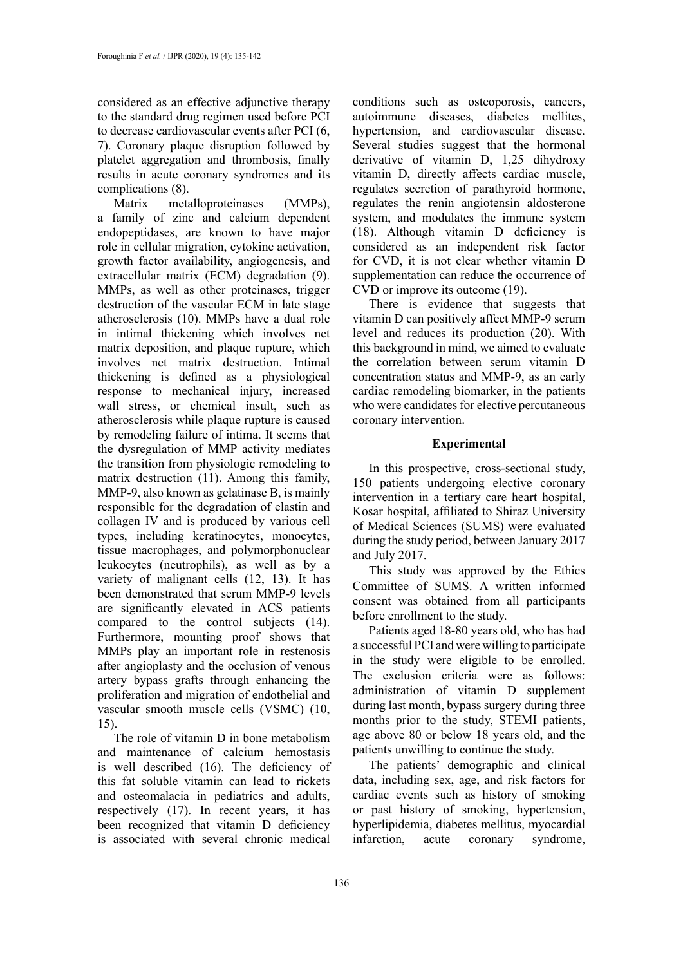considered as an effective adjunctive therapy to the standard drug regimen used before PCI to decrease cardiovascular events after PCI (6, 7). Coronary plaque disruption followed by platelet aggregation and thrombosis, finally results in acute coronary syndromes and its complications (8).

Matrix metalloproteinases (MMPs), a family of zinc and calcium dependent endopeptidases, are known to have major role in cellular migration, cytokine activation, growth factor availability, angiogenesis, and extracellular matrix (ECM) degradation (9). MMPs, as well as other proteinases, trigger destruction of the vascular ECM in late stage atherosclerosis (10). MMPs have a dual role in intimal thickening which involves net matrix deposition, and plaque rupture, which involves net matrix destruction. Intimal thickening is defined as a physiological response to mechanical injury, increased wall stress, or chemical insult, such as atherosclerosis while plaque rupture is caused by remodeling failure of intima. It seems that the dysregulation of MMP activity mediates the transition from physiologic remodeling to matrix destruction (11). Among this family, MMP-9, also known as gelatinase B, is mainly responsible for the degradation of elastin and collagen IV and is produced by various cell types, including keratinocytes, monocytes, tissue macrophages, and polymorphonuclear leukocytes (neutrophils), as well as by a variety of malignant cells (12, 13). It has been demonstrated that serum MMP-9 levels are significantly elevated in ACS patients compared to the control subjects (14). Furthermore, mounting proof shows that MMPs play an important role in restenosis after angioplasty and the occlusion of venous artery bypass grafts through enhancing the proliferation and migration of endothelial and vascular smooth muscle cells (VSMC) (10, 15).

The role of vitamin D in bone metabolism and maintenance of calcium hemostasis is well described (16). The deficiency of this fat soluble vitamin can lead to rickets and osteomalacia in pediatrics and adults, respectively (17). In recent years, it has been recognized that vitamin D deficiency is associated with several chronic medical

conditions such as osteoporosis, cancers, autoimmune diseases, diabetes mellites, hypertension, and cardiovascular disease. Several studies suggest that the hormonal derivative of vitamin D, 1,25 dihydroxy vitamin D, directly affects cardiac muscle, regulates secretion of parathyroid hormone, regulates the renin angiotensin aldosterone system, and modulates the immune system (18). Although vitamin D deficiency is considered as an independent risk factor for CVD, it is not clear whether vitamin D supplementation can reduce the occurrence of CVD or improve its outcome (19).

There is evidence that suggests that vitamin D can positively affect MMP-9 serum level and reduces its production (20). With this background in mind, we aimed to evaluate the correlation between serum vitamin D concentration status and MMP-9, as an early cardiac remodeling biomarker, in the patients who were candidates for elective percutaneous coronary intervention.

## **Experimental**

In this prospective, cross-sectional study, 150 patients undergoing elective coronary intervention in a tertiary care heart hospital, Kosar hospital, affiliated to Shiraz University of Medical Sciences (SUMS) were evaluated during the study period, between January 2017 and July 2017.

This study was approved by the Ethics Committee of SUMS. A written informed consent was obtained from all participants before enrollment to the study.

Patients aged 18-80 years old, who has had a successful PCI and were willing to participate in the study were eligible to be enrolled. The exclusion criteria were as follows: administration of vitamin D supplement during last month, bypass surgery during three months prior to the study, STEMI patients, age above 80 or below 18 years old, and the patients unwilling to continue the study.

The patients' demographic and clinical data, including sex, age, and risk factors for cardiac events such as history of smoking or past history of smoking, hypertension, hyperlipidemia, diabetes mellitus, myocardial infarction, acute coronary syndrome,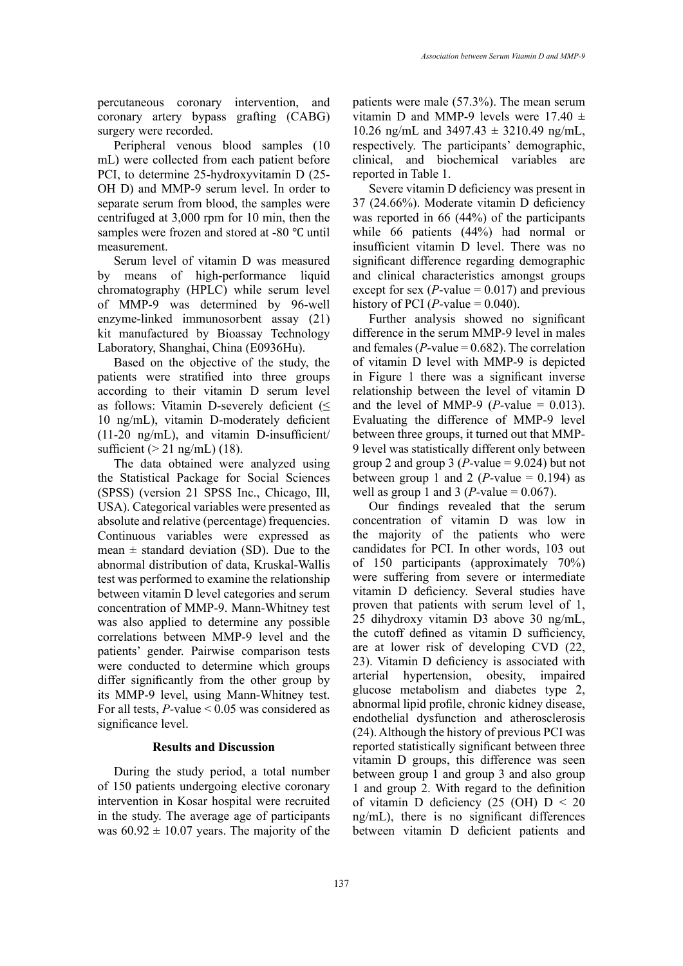percutaneous coronary intervention, and coronary artery bypass grafting (CABG) surgery were recorded.

Peripheral venous blood samples (10 mL) were collected from each patient before PCI, to determine 25-hydroxyvitamin D (25- OH D) and MMP-9 serum level. In order to separate serum from blood, the samples were centrifuged at 3,000 rpm for 10 min, then the samples were frozen and stored at -80 ℃ until measurement.

Serum level of vitamin D was measured by means of high-performance liquid chromatography (HPLC) while serum level of MMP-9 was determined by 96-well enzyme-linked immunosorbent assay (21) kit manufactured by Bioassay Technology Laboratory, Shanghai, China (E0936Hu).

Based on the objective of the study, the patients were stratified into three groups according to their vitamin D serum level as follows: Vitamin D-severely deficient  $(\leq$ 10 ng/mL), vitamin D-moderately deficient  $(11-20 \text{ ng/mL})$ , and vitamin D-insufficient/ sufficient ( $> 21$  ng/mL) (18).

The data obtained were analyzed using the Statistical Package for Social Sciences (SPSS) (version 21 SPSS Inc., Chicago, Ill, USA). Categorical variables were presented as absolute and relative (percentage) frequencies. Continuous variables were expressed as mean  $\pm$  standard deviation (SD). Due to the abnormal distribution of data, Kruskal-Wallis test was performed to examine the relationship between vitamin D level categories and serum concentration of MMP-9. Mann-Whitney test was also applied to determine any possible correlations between MMP-9 level and the patients' gender. Pairwise comparison tests were conducted to determine which groups differ significantly from the other group by its MMP-9 level, using Mann-Whitney test. For all tests, *P*-value < 0.05 was considered as significance level.

## **Results and Discussion**

During the study period, a total number of 150 patients undergoing elective coronary intervention in Kosar hospital were recruited in the study. The average age of participants was  $60.92 \pm 10.07$  years. The majority of the

patients were male (57.3%). The mean serum vitamin D and MMP-9 levels were  $17.40 \pm$ 10.26 ng/mL and  $3497.43 \pm 3210.49$  ng/mL, respectively. The participants' demographic, clinical, and biochemical variables are reported in Table 1.

Severe vitamin D deficiency was present in 37 (24.66%). Moderate vitamin D deficiency was reported in 66 (44%) of the participants while 66 patients (44%) had normal or insufficient vitamin D level. There was no significant difference regarding demographic and clinical characteristics amongst groups except for sex  $(P$ -value = 0.017) and previous history of PCI ( $P$ -value = 0.040).

Further analysis showed no significant difference in the serum MMP-9 level in males and females  $(P$ -value =  $0.682$ ). The correlation of vitamin D level with MMP-9 is depicted in Figure 1 there was a significant inverse relationship between the level of vitamin D and the level of MMP-9 (*P*-value  $= 0.013$ ). Evaluating the difference of MMP-9 level between three groups, it turned out that MMP-9 level was statistically different only between group 2 and group 3 ( $P$ -value = 9.024) but not between group 1 and 2 (*P*-value =  $0.194$ ) as well as group 1 and 3 ( $P$ -value = 0.067).

Our findings revealed that the serum concentration of vitamin D was low in the majority of the patients who were candidates for PCI. In other words, 103 out of 150 participants (approximately 70%) were suffering from severe or intermediate vitamin D deficiency. Several studies have proven that patients with serum level of 1, 25 dihydroxy vitamin D3 above 30 ng/mL, the cutoff defined as vitamin D sufficiency, are at lower risk of developing CVD (22, 23). Vitamin D deficiency is associated with arterial hypertension, obesity, impaired glucose metabolism and diabetes type 2, abnormal lipid profile, chronic kidney disease, endothelial dysfunction and atherosclerosis (24). Although the history of previous PCI was reported statistically significant between three vitamin D groups, this difference was seen between group 1 and group 3 and also group 1 and group 2. With regard to the definition of vitamin D deficiency  $(25 \text{ (OH)} D < 20$ ng/mL), there is no significant differences between vitamin D deficient patients and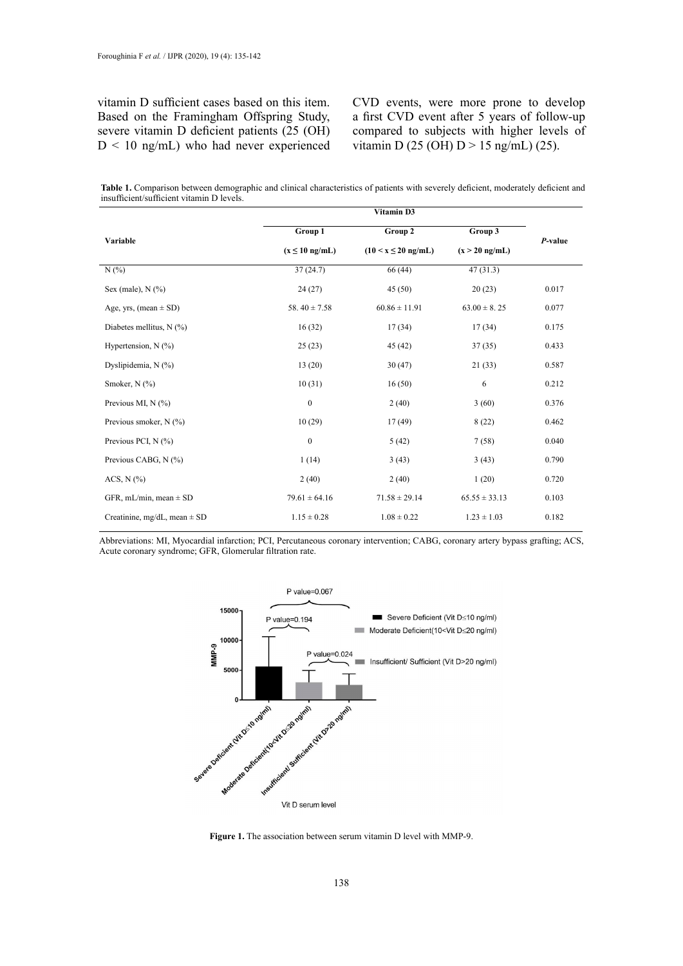vitamin D sufficient cases based on this item. Based on the Framingham Offspring Study, severe vitamin D deficient patients (25 (OH)  $D < 10$  ng/mL) who had never experienced CVD events, were more prone to develop a first CVD event after 5 years of follow-up compared to subjects with higher levels of vitamin D (25 (OH)  $D > 15$  ng/mL) (25).

Table 1. Comparison between demographic and clinical characteristics of patients with severely deficient, moderately deficient and insufficient/sufficient vitamin D levels.

|                                  | Vitamin D3          |                                   |                   |         |
|----------------------------------|---------------------|-----------------------------------|-------------------|---------|
| Variable                         | Group 1             | Group 2                           | Group 3           | P-value |
|                                  | $(x \leq 10$ ng/mL) | $(10 \le x \le 20 \text{ ng/mL})$ | $(x > 20$ ng/mL)  |         |
| $N(\%)$                          | 37(24.7)            | 66(44)                            | 47(31.3)          |         |
| Sex (male), $N$ $(\%)$           | 24(27)              | 45(50)                            | 20(23)            | 0.017   |
| Age, yrs, (mean $\pm$ SD)        | 58.40 $\pm$ 7.58    | $60.86 \pm 11.91$                 | $63.00 \pm 8.25$  | 0.077   |
| Diabetes mellitus, N (%)         | 16(32)              | 17(34)                            | 17(34)            | 0.175   |
| Hypertension, $N$ (%)            | 25(23)              | 45 (42)                           | 37(35)            | 0.433   |
| Dyslipidemia, N (%)              | 13(20)              | 30(47)                            | 21(33)            | 0.587   |
| Smoker, N (%)                    | 10(31)              | 16(50)                            | 6                 | 0.212   |
| Previous MI, N (%)               | $\boldsymbol{0}$    | 2(40)                             | 3(60)             | 0.376   |
| Previous smoker, $N$ (%)         | 10(29)              | 17(49)                            | 8(22)             | 0.462   |
| Previous PCI, N (%)              | $\boldsymbol{0}$    | 5(42)                             | 7(58)             | 0.040   |
| Previous CABG, N (%)             | 1(14)               | 3(43)                             | 3(43)             | 0.790   |
| ACS, $N$ $(\%$ )                 | 2(40)               | 2(40)                             | 1(20)             | 0.720   |
| GFR, mL/min, mean $\pm$ SD       | $79.61 \pm 64.16$   | $71.58 \pm 29.14$                 | $65.55 \pm 33.13$ | 0.103   |
| Creatinine, mg/dL, mean $\pm$ SD | $1.15 \pm 0.28$     | $1.08 \pm 0.22$                   | $1.23 \pm 1.03$   | 0.182   |

Acute coronary syndrome; GFR, Glomerular filtration rate. Abbreviations: MI, Myocardial infarction; PCI, Percutaneous coronary intervention; CABG, coronary artery bypass grafting; ACS,



**Figure 1.** The association between serum vitamin D level with MMP-9. **Figure 1.** The association between serum vitamin D level with MMP-9.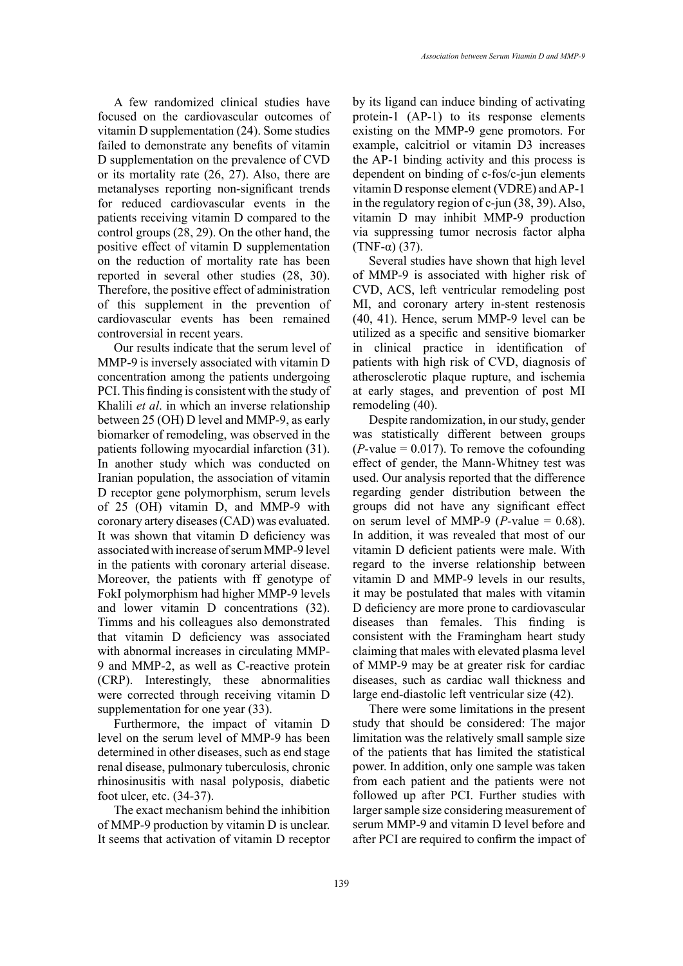A few randomized clinical studies have focused on the cardiovascular outcomes of vitamin D supplementation (24). Some studies failed to demonstrate any benefits of vitamin D supplementation on the prevalence of CVD or its mortality rate (26, 27). Also, there are metanalyses reporting non-significant trends for reduced cardiovascular events in the patients receiving vitamin D compared to the control groups (28, 29). On the other hand, the positive effect of vitamin D supplementation on the reduction of mortality rate has been reported in several other studies (28, 30). Therefore, the positive effect of administration of this supplement in the prevention of cardiovascular events has been remained controversial in recent years.

Our results indicate that the serum level of MMP-9 is inversely associated with vitamin D concentration among the patients undergoing PCI. This finding is consistent with the study of Khalili *et al*. in which an inverse relationship between 25 (OH) D level and MMP-9, as early biomarker of remodeling, was observed in the patients following myocardial infarction (31). In another study which was conducted on Iranian population, the association of vitamin D receptor gene polymorphism, serum levels of 25 (OH) vitamin D, and MMP-9 with coronary artery diseases (CAD) was evaluated. It was shown that vitamin D deficiency was associated with increase of serum MMP-9 level in the patients with coronary arterial disease. Moreover, the patients with ff genotype of FokI polymorphism had higher MMP-9 levels and lower vitamin D concentrations (32). Timms and his colleagues also demonstrated that vitamin D deficiency was associated with abnormal increases in circulating MMP-9 and MMP-2, as well as C-reactive protein (CRP). Interestingly, these abnormalities were corrected through receiving vitamin D supplementation for one year  $(33)$ .

Furthermore, the impact of vitamin D level on the serum level of MMP-9 has been determined in other diseases, such as end stage renal disease, pulmonary tuberculosis, chronic rhinosinusitis with nasal polyposis, diabetic foot ulcer, etc. (34-37).

The exact mechanism behind the inhibition of MMP-9 production by vitamin D is unclear. It seems that activation of vitamin D receptor by its ligand can induce binding of activating protein-1 (AP-1) to its response elements existing on the MMP-9 gene promotors. For example, calcitriol or vitamin D3 increases the AP-1 binding activity and this process is dependent on binding of c-fos/c-jun elements vitamin D response element (VDRE) and AP-1 in the regulatory region of c-jun (38, 39). Also, vitamin D may inhibit MMP-9 production via suppressing tumor necrosis factor alpha (TNF-α) (37).

Several studies have shown that high level of MMP-9 is associated with higher risk of CVD, ACS, left ventricular remodeling post MI, and coronary artery in-stent restenosis (40, 41). Hence, serum MMP-9 level can be utilized as a specific and sensitive biomarker in clinical practice in identification of patients with high risk of CVD, diagnosis of atherosclerotic plaque rupture, and ischemia at early stages, and prevention of post MI remodeling (40).

Despite randomization, in our study, gender was statistically different between groups  $(P\text{-value} = 0.017)$ . To remove the cofounding effect of gender, the Mann-Whitney test was used. Our analysis reported that the difference regarding gender distribution between the groups did not have any significant effect on serum level of MMP-9 ( $P$ -value = 0.68). In addition, it was revealed that most of our vitamin D deficient patients were male. With regard to the inverse relationship between vitamin D and MMP-9 levels in our results, it may be postulated that males with vitamin D deficiency are more prone to cardiovascular diseases than females. This finding is consistent with the Framingham heart study claiming that males with elevated plasma level of MMP-9 may be at greater risk for cardiac diseases, such as cardiac wall thickness and large end-diastolic left ventricular size (42).

There were some limitations in the present study that should be considered: The major limitation was the relatively small sample size of the patients that has limited the statistical power. In addition, only one sample was taken from each patient and the patients were not followed up after PCI. Further studies with larger sample size considering measurement of serum MMP-9 and vitamin D level before and after PCI are required to confirm the impact of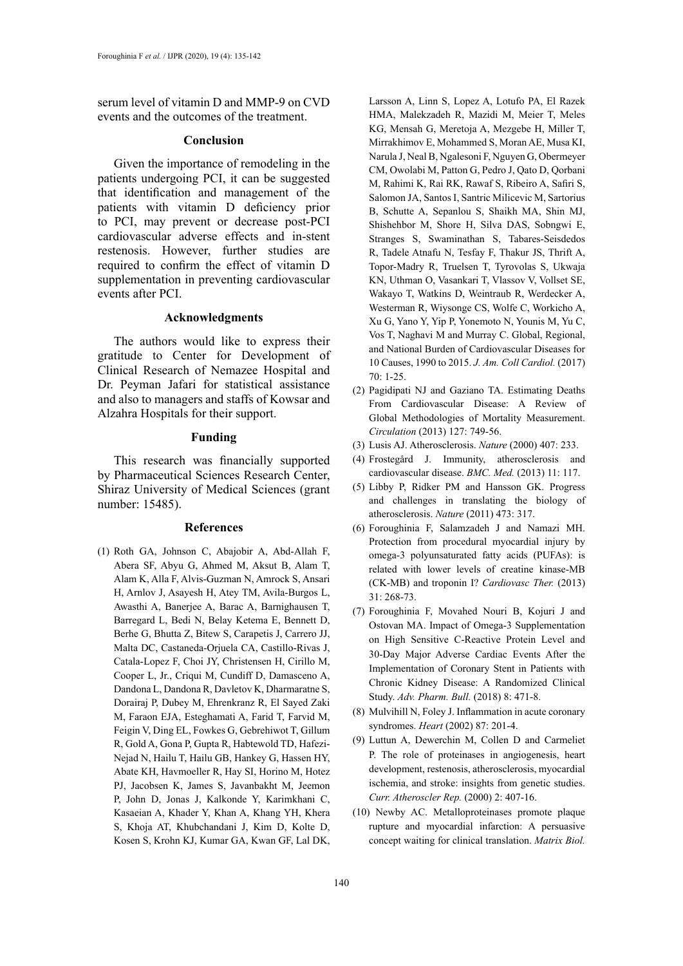serum level of vitamin D and MMP-9 on CVD events and the outcomes of the treatment.

### **Conclusion**

Given the importance of remodeling in the patients undergoing PCI, it can be suggested that identification and management of the patients with vitamin D deficiency prior to PCI, may prevent or decrease post-PCI cardiovascular adverse effects and in-stent restenosis. However, further studies are required to confirm the effect of vitamin D supplementation in preventing cardiovascular events after PCI.

## **Acknowledgments**

The authors would like to express their gratitude to Center for Development of Clinical Research of Nemazee Hospital and Dr. Peyman Jafari for statistical assistance and also to managers and staffs of Kowsar and Alzahra Hospitals for their support.

### **Funding**

This research was financially supported by Pharmaceutical Sciences Research Center, Shiraz University of Medical Sciences (grant number: 15485).

#### **References**

(1) Roth GA, Johnson C, Abajobir A, Abd-Allah F, Abera SF, Abyu G, Ahmed M, Aksut B, Alam T, Alam K, Alla F, Alvis-Guzman N, Amrock S, Ansari H, Arnlov J, Asayesh H, Atey TM, Avila-Burgos L, Awasthi A, Banerjee A, Barac A, Barnighausen T, Barregard L, Bedi N, Belay Ketema E, Bennett D, Berhe G, Bhutta Z, Bitew S, Carapetis J, Carrero JJ, Malta DC, Castaneda-Orjuela CA, Castillo-Rivas J, Catala-Lopez F, Choi JY, Christensen H, Cirillo M, Cooper L, Jr., Criqui M, Cundiff D, Damasceno A, Dandona L, Dandona R, Davletov K, Dharmaratne S, Dorairaj P, Dubey M, Ehrenkranz R, El Sayed Zaki M, Faraon EJA, Esteghamati A, Farid T, Farvid M, Feigin V, Ding EL, Fowkes G, Gebrehiwot T, Gillum R, Gold A, Gona P, Gupta R, Habtewold TD, Hafezi-Nejad N, Hailu T, Hailu GB, Hankey G, Hassen HY, Abate KH, Havmoeller R, Hay SI, Horino M, Hotez PJ, Jacobsen K, James S, Javanbakht M, Jeemon P, John D, Jonas J, Kalkonde Y, Karimkhani C, Kasaeian A, Khader Y, Khan A, Khang YH, Khera S, Khoja AT, Khubchandani J, Kim D, Kolte D, Kosen S, Krohn KJ, Kumar GA, Kwan GF, Lal DK,

Larsson A, Linn S, Lopez A, Lotufo PA, El Razek HMA, Malekzadeh R, Mazidi M, Meier T, Meles KG, Mensah G, Meretoja A, Mezgebe H, Miller T, Mirrakhimov E, Mohammed S, Moran AE, Musa KI, Narula J, Neal B, Ngalesoni F, Nguyen G, Obermeyer CM, Owolabi M, Patton G, Pedro J, Qato D, Qorbani M, Rahimi K, Rai RK, Rawaf S, Ribeiro A, Safiri S, Salomon JA, Santos I, Santric Milicevic M, Sartorius B, Schutte A, Sepanlou S, Shaikh MA, Shin MJ, Shishehbor M, Shore H, Silva DAS, Sobngwi E, Stranges S, Swaminathan S, Tabares-Seisdedos R, Tadele Atnafu N, Tesfay F, Thakur JS, Thrift A, Topor-Madry R, Truelsen T, Tyrovolas S, Ukwaja KN, Uthman O, Vasankari T, Vlassov V, Vollset SE, Wakayo T, Watkins D, Weintraub R, Werdecker A, Westerman R, Wiysonge CS, Wolfe C, Workicho A, Xu G, Yano Y, Yip P, Yonemoto N, Younis M, Yu C, Vos T, Naghavi M and Murray C. Global, Regional, and National Burden of Cardiovascular Diseases for 10 Causes, 1990 to 2015. *J. Am. Coll Cardiol.* (2017)  $70:1 - 25$ 

- (2) Pagidipati NJ and Gaziano TA. Estimating Deaths From Cardiovascular Disease: A Review of Global Methodologies of Mortality Measurement. *Circulation* (2013) 127: 749-56.
- (3) Lusis AJ. Atherosclerosis. *Nature* (2000) 407: 233.
- (4) Frostegård J. Immunity, atherosclerosis and cardiovascular disease. *BMC. Med.* (2013) 11: 117.
- (5) Libby P, Ridker PM and Hansson GK. Progress and challenges in translating the biology of atherosclerosis. *Nature* (2011) 473: 317.
- (6) Foroughinia F, Salamzadeh J and Namazi MH. Protection from procedural myocardial injury by omega-3 polyunsaturated fatty acids (PUFAs): is related with lower levels of creatine kinase-MB (CK-MB) and troponin I? *Cardiovasc Ther.* (2013) 31: 268-73.
- (7) Foroughinia F, Movahed Nouri B, Kojuri J and Ostovan MA. Impact of Omega-3 Supplementation on High Sensitive C-Reactive Protein Level and 30-Day Major Adverse Cardiac Events After the Implementation of Coronary Stent in Patients with Chronic Kidney Disease: A Randomized Clinical Study. *Adv. Pharm. Bull.* (2018) 8: 471-8.
- (8) Mulvihill N, Foley J. Inflammation in acute coronary syndromes. *Heart* (2002) 87: 201-4.
- (9) Luttun A, Dewerchin M, Collen D and Carmeliet P. The role of proteinases in angiogenesis, heart development, restenosis, atherosclerosis, myocardial ischemia, and stroke: insights from genetic studies. *Curr. Atheroscler Rep.* (2000) 2: 407-16.
- (10) Newby AC. Metalloproteinases promote plaque rupture and myocardial infarction: A persuasive concept waiting for clinical translation. *Matrix Biol.*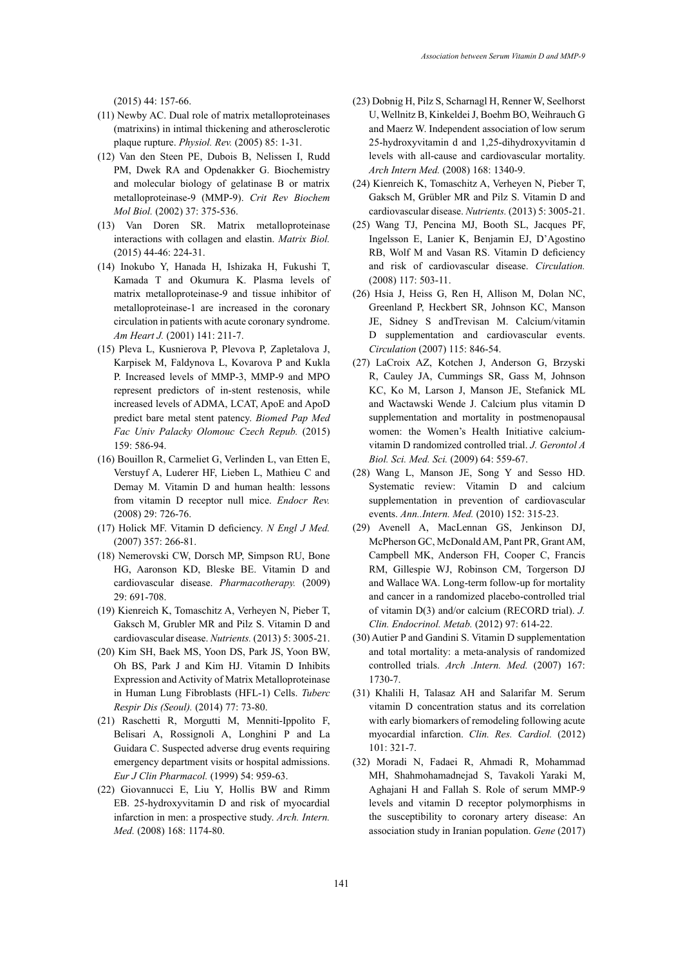(2015) 44: 157-66.

- (11) Newby AC. Dual role of matrix metalloproteinases (matrixins) in intimal thickening and atherosclerotic plaque rupture. *Physiol. Rev.* (2005) 85: 1-31.
- (12) Van den Steen PE, Dubois B, Nelissen I, Rudd PM, Dwek RA and Opdenakker G. Biochemistry and molecular biology of gelatinase B or matrix metalloproteinase-9 (MMP-9). *Crit Rev Biochem Mol Biol.* (2002) 37: 375-536.
- (13) Van Doren SR. Matrix metalloproteinase interactions with collagen and elastin. *Matrix Biol.* (2015) 44-46: 224-31.
- (14) Inokubo Y, Hanada H, Ishizaka H, Fukushi T, Kamada T and Okumura K. Plasma levels of matrix metalloproteinase-9 and tissue inhibitor of metalloproteinase-1 are increased in the coronary circulation in patients with acute coronary syndrome. *Am Heart J.* (2001) 141: 211-7.
- (15) Pleva L, Kusnierova P, Plevova P, Zapletalova J, Karpisek M, Faldynova L, Kovarova P and Kukla P. Increased levels of MMP-3, MMP-9 and MPO represent predictors of in-stent restenosis, while increased levels of ADMA, LCAT, ApoE and ApoD predict bare metal stent patency. *Biomed Pap Med Fac Univ Palacky Olomouc Czech Repub.* (2015) 159: 586-94.
- (16) Bouillon R, Carmeliet G, Verlinden L, van Etten E, Verstuyf A, Luderer HF, Lieben L, Mathieu C and Demay M. Vitamin D and human health: lessons from vitamin D receptor null mice. *Endocr Rev.* (2008) 29: 726-76.
- (17) Holick MF. Vitamin D deficiency. *N Engl J Med.* (2007) 357: 266-81.
- (18) Nemerovski CW, Dorsch MP, Simpson RU, Bone HG, Aaronson KD, Bleske BE. Vitamin D and cardiovascular disease. *Pharmacotherapy.* (2009) 29: 691-708.
- (19) Kienreich K, Tomaschitz A, Verheyen N, Pieber T, Gaksch M, Grubler MR and Pilz S. Vitamin D and cardiovascular disease. *Nutrients.* (2013) 5: 3005-21.
- (20) Kim SH, Baek MS, Yoon DS, Park JS, Yoon BW, Oh BS, Park J and Kim HJ. Vitamin D Inhibits Expression and Activity of Matrix Metalloproteinase in Human Lung Fibroblasts (HFL-1) Cells. *Tuberc Respir Dis (Seoul).* (2014) 77: 73-80.
- (21) Raschetti R, Morgutti M, Menniti-Ippolito F, Belisari A, Rossignoli A, Longhini P and La Guidara C. Suspected adverse drug events requiring emergency department visits or hospital admissions. *Eur J Clin Pharmacol.* (1999) 54: 959-63.
- (22) Giovannucci E, Liu Y, Hollis BW and Rimm EB. 25-hydroxyvitamin D and risk of myocardial infarction in men: a prospective study. *Arch. Intern. Med.* (2008) 168: 1174-80.
- (23) Dobnig H, Pilz S, Scharnagl H, Renner W, Seelhorst U, Wellnitz B, Kinkeldei J, Boehm BO, Weihrauch G and Maerz W. Independent association of low serum 25-hydroxyvitamin d and 1,25-dihydroxyvitamin d levels with all-cause and cardiovascular mortality. *Arch Intern Med.* (2008) 168: 1340-9.
- (24) Kienreich K, Tomaschitz A, Verheyen N, Pieber T, Gaksch M, Grübler MR and Pilz S. Vitamin D and cardiovascular disease. *Nutrients.* (2013) 5: 3005-21.
- (25) Wang TJ, Pencina MJ, Booth SL, Jacques PF, Ingelsson E, Lanier K, Benjamin EJ, D'Agostino RB, Wolf M and Vasan RS. Vitamin D deficiency and risk of cardiovascular disease. *Circulation.* (2008) 117: 503-11.
- (26) Hsia J, Heiss G, Ren H, Allison M, Dolan NC, Greenland P, Heckbert SR, Johnson KC, Manson JE, Sidney S andTrevisan M. Calcium/vitamin D supplementation and cardiovascular events. *Circulation* (2007) 115: 846-54.
- (27) LaCroix AZ, Kotchen J, Anderson G, Brzyski R, Cauley JA, Cummings SR, Gass M, Johnson KC, Ko M, Larson J, Manson JE, Stefanick ML and Wactawski Wende J. Calcium plus vitamin D supplementation and mortality in postmenopausal women: the Women's Health Initiative calciumvitamin D randomized controlled trial. *J. Gerontol A Biol. Sci. Med. Sci.* (2009) 64: 559-67.
- (28) Wang L, Manson JE, Song Y and Sesso HD. Systematic review: Vitamin D and calcium supplementation in prevention of cardiovascular events. *Ann..Intern. Med.* (2010) 152: 315-23.
- (29) Avenell A, MacLennan GS, Jenkinson DJ, McPherson GC, McDonald AM, Pant PR, Grant AM, Campbell MK, Anderson FH, Cooper C, Francis RM, Gillespie WJ, Robinson CM, Torgerson DJ and Wallace WA. Long-term follow-up for mortality and cancer in a randomized placebo-controlled trial of vitamin D(3) and/or calcium (RECORD trial). *J. Clin. Endocrinol. Metab.* (2012) 97: 614-22.
- (30) Autier P and Gandini S. Vitamin D supplementation and total mortality: a meta-analysis of randomized controlled trials. *Arch .Intern. Med.* (2007) 167: 1730-7.
- (31) Khalili H, Talasaz AH and Salarifar M. Serum vitamin D concentration status and its correlation with early biomarkers of remodeling following acute myocardial infarction. *Clin. Res. Cardiol.* (2012) 101: 321-7.
- (32) Moradi N, Fadaei R, Ahmadi R, Mohammad MH, Shahmohamadnejad S, Tavakoli Yaraki M, Aghajani H and Fallah S. Role of serum MMP-9 levels and vitamin D receptor polymorphisms in the susceptibility to coronary artery disease: An association study in Iranian population. *Gene* (2017)